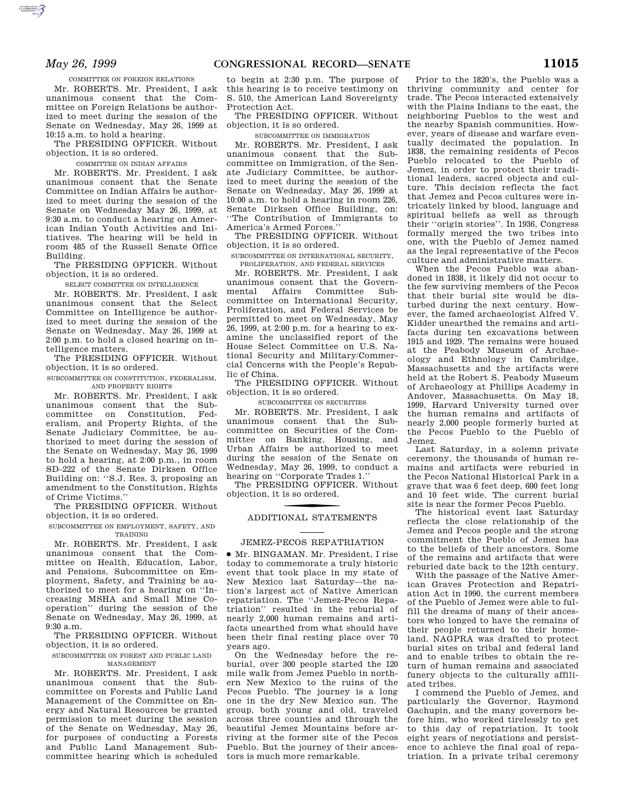COMMITTEE ON FOREIGN RELATIONS

Mr. ROBERTS. Mr. President, I ask unanimous consent that the Committee on Foreign Relations be authorized to meet during the session of the Senate on Wednesday, May 26, 1999 at 10:15 a.m. to hold a hearing.

The PRESIDING OFFICER. Without objection, it is so ordered.

COMMITTEE ON INDIAN AFFAIRS

Mr. ROBERTS. Mr. President, I ask unanimous consent that the Senate Committee on Indian Affairs be authorized to meet during the session of the Senate on Wednesday May 26, 1999, at 9:30 a.m. to conduct a hearing on American Indian Youth Activities and Initiatives. The hearing will be held in room 485 of the Russell Senate Office Building.

The PRESIDING OFFICER. Without objection, it is so ordered.

SELECT COMMITTEE ON INTELLIGENCE

Mr. ROBERTS. Mr. President, I ask unanimous consent that the Select Committee on Intelligence be authorized to meet during the session of the Senate on Wednesday, May 26, 1999 at 2:00 p.m. to hold a closed hearing on intelligence matters.

The PRESIDING OFFICER. Without objection, it is so ordered.

SUBCOMMITTEE ON CONSTITUTION, FEDERALISM, AND PROPERTY RIGHTS

Mr. ROBERTS. Mr. President, I ask unanimous consent that the Subcommittee on Constitution, Federalism, and Property Rights, of the Senate Judiciary Committee, be authorized to meet during the session of the Senate on Wednesday, May 26, 1999 to hold a hearing, at 2:00 p.m., in room SD–222 of the Senate Dirksen Office Building on: ''S.J. Res. 3, proposing an amendment to the Constitution, Rights of Crime Victims.''

The PRESIDING OFFICER. Without objection, it is so ordered.

SUBCOMMITTEE ON EMPLOYMENT, SAFETY, AND TRAINING

Mr. ROBERTS. Mr. President, I ask unanimous consent that the Committee on Health, Education, Labor, and Pensions, Subcommittee on Employment, Safety, and Training be authorized to meet for a hearing on ''Increasing MSHA and Small Mine Cooperation'' during the session of the Senate on Wednesday, May 26, 1999, at 9:30 a.m.

The PRESIDING OFFICER. Without objection, it is so ordered.

SUBCOMMITTEE ON FOREST AND PUBLIC LAND MANAGEMENT

Mr. ROBERTS. Mr. President, I ask unanimous consent that the Subcommittee on Forests and Public Land Management of the Committee on Energy and Natural Resources be granted permission to meet during the session of the Senate on Wednesday, May 26, for purposes of conducting a Forests and Public Land Management Subcommittee hearing which is scheduled

to begin at 2:30 p.m. The purpose of this hearing is to receive testimony on S. 510, the American Land Sovereignty Protection Act.

The PRESIDING OFFICER. Without objection, it is so ordered.

SUBCOMMITTEE ON IMMIGRATION

Mr. ROBERTS. Mr. President, I ask unanimous consent that the Subcommittee on Immigration, of the Senate Judiciary Committee, be authorized to meet during the session of the Senate on Wednesday, May 26, 1999 at 10:00 a.m. to hold a hearing in room 226, Senate Dirksen Office Building, on: ''The Contribution of Immigrants to America's Armed Forces.''

The PRESIDING OFFICER. Without objection, it is so ordered.

SUBCOMMITTEE ON INTERNATIONAL SECURITY,

PROLIFERATION, AND FEDERAL SERVICES

Mr. ROBERTS. Mr. President, I ask unanimous consent that the Governmental Affairs Committee Subcommittee on International Security, Proliferation, and Federal Services be permitted to meet on Wednesday, May 26, 1999, at 2:00 p.m. for a hearing to examine the unclassified report of the House Select Committee on U.S. National Security and Military/Commercial Concerns with the People's Republic of China.

The PRESIDING OFFICER. Without objection, it is so ordered.

SUBCOMMITTEE ON SECURITIES

Mr. ROBERTS. Mr. President, I ask unanimous consent that the Subcommittee on Securities of the Committee on Banking, Housing, and Urban Affairs be authorized to meet during the session of the Senate on Wednesday, May 26, 1999, to conduct a hearing on ''Corporate Trades 1.''

The PRESIDING OFFICER. Without objection, it is so ordered.

# f ADDITIONAL STATEMENTS

#### JEMEZ-PECOS REPATRIATION

∑ Mr. BINGAMAN. Mr. President, I rise today to commemorate a truly historic event that took place in my state of New Mexico last Saturday—the nation's largest act of Native American repatriation. The ''Jemez-Pecos Repatriation'' resulted in the reburial of nearly 2,000 human remains and artifacts unearthed from what should have been their final resting place over 70 years ago.

On the Wednesday before the reburial, over 300 people started the 120 mile walk from Jemez Pueblo in northern New Mexico to the ruins of the Pecos Pueblo. The journey is a long one in the dry New Mexico sun. The group, both young and old, traveled across three counties and through the beautiful Jemez Mountains before arriving at the former site of the Pecos Pueblo. But the journey of their ancestors is much more remarkable.

Prior to the 1820's, the Pueblo was a thriving community and center for trade. The Pecos interacted extensively with the Plains Indians to the east, the neighboring Pueblos to the west and the nearby Spanish communities. However, years of disease and warfare eventually decimated the population. In 1838, the remaining residents of Pecos Pueblo relocated to the Pueblo of Jemez, in order to protect their traditional leaders, sacred objects and culture. This decision reflects the fact that Jemez and Pecos cultures were intricately linked by blood, language and spiritual beliefs as well as through their ''origin stories''. In 1936, Congress formally merged the two tribes into one, with the Pueblo of Jemez named as the legal representative of the Pecos culture and administrative matters.

When the Pecos Pueblo was abandoned in 1838, it likely did not occur to the few surviving members of the Pecos that their burial site would be disturbed during the next century. However, the famed archaeologist Alfred V. Kidder unearthed the remains and artifacts during ten excavations between 1915 and 1929. The remains were housed at the Peabody Museum of Archaeology and Ethnology in Cambridge, Massachusetts and the artifacts were held at the Robert S. Peabody Museum of Archaeology at Phillips Academy in Andover, Massachusetts. On May 18, 1999, Harvard University turned over the human remains and artifacts of nearly 2,000 people formerly buried at the Pecos Pueblo to the Pueblo of Jemez.

Last Saturday, in a solemn private ceremony, the thousands of human remains and artifacts were reburied in the Pecos National Historical Park in a grave that was 6 feet deep, 600 feet long and 10 feet wide. The current burial site is near the former Pecos Pueblo.

The historical event last Saturday reflects the close relationship of the Jemez and Pecos people and the strong commitment the Pueblo of Jemez has to the beliefs of their ancestors. Some of the remains and artifacts that were reburied date back to the 12th century.

With the passage of the Native American Graves Protection and Repatriation Act in 1990, the current members of the Pueblo of Jemez were able to fulfill the dreams of many of their ancestors who longed to have the remains of their people returned to their homeland. NAGPRA was drafted to protect burial sites on tribal and federal land and to enable tribes to obtain the return of human remains and associated funery objects to the culturally affiliated tribes.

I commend the Pueblo of Jemez, and particularly the Governor, Raymond Gachupin, and the many governors before him, who worked tirelessly to get to this day of repatriation. It took eight years of negotiations and persistence to achieve the final goal of repatriation. In a private tribal ceremony